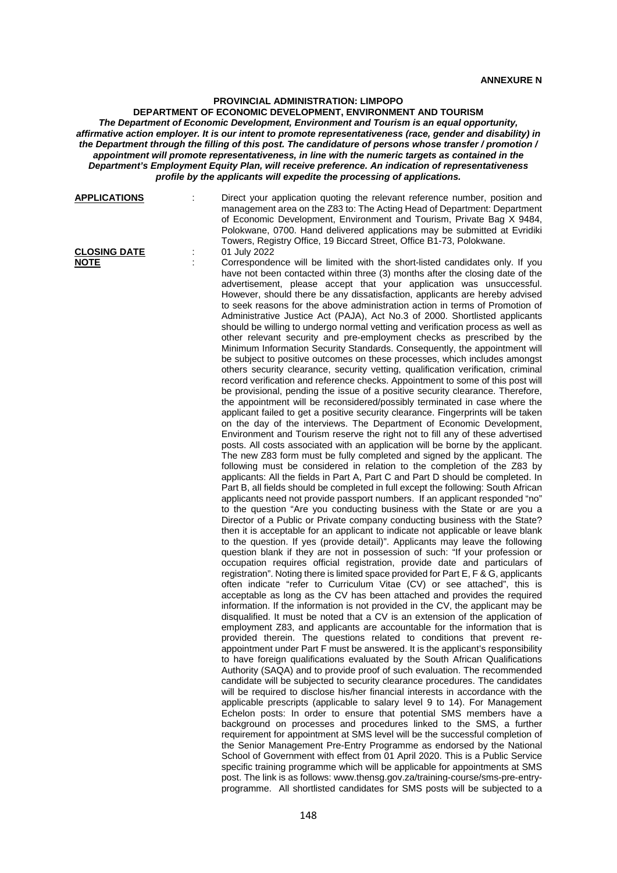## **PROVINCIAL ADMINISTRATION: LIMPOPO**

**DEPARTMENT OF ECONOMIC DEVELOPMENT, ENVIRONMENT AND TOURISM** *The Department of Economic Development, Environment and Tourism is an equal opportunity, affirmative action employer. It is our intent to promote representativeness (race, gender and disability) in the Department through the filling of this post. The candidature of persons whose transfer / promotion / appointment will promote representativeness, in line with the numeric targets as contained in the Department's Employment Equity Plan, will receive preference. An indication of representativeness profile by the applicants will expedite the processing of applications.*

| <b>APPLICATIONS</b>                | Direct your application quoting the relevant reference number, position and<br>management area on the Z83 to: The Acting Head of Department: Department<br>of Economic Development, Environment and Tourism, Private Bag X 9484,<br>Polokwane, 0700. Hand delivered applications may be submitted at Evridiki<br>Towers, Registry Office, 19 Biccard Street, Office B1-73, Polokwane.                                                                                                                                                                                                                                                                                                                                                                                                                                                                                                                                                                                                                                                                                                                                                                                                                                                                                                                                                                                                                                                                                                                                                                                                                                                                                                                                                                                                                                                                                                                                                                                                                                                                                                                                                                                                                                                                                                                                                                                                                                                                                                                                                                                                                                                                                                                                                                                                                                                                                                                                                                                                                                                                                                                                                                                                                                                                                                                                                                                                                                                                                                                                                                                                                                                                                                                                                                                                                                                                                                                                                                                                                                                                                                                                                        |
|------------------------------------|----------------------------------------------------------------------------------------------------------------------------------------------------------------------------------------------------------------------------------------------------------------------------------------------------------------------------------------------------------------------------------------------------------------------------------------------------------------------------------------------------------------------------------------------------------------------------------------------------------------------------------------------------------------------------------------------------------------------------------------------------------------------------------------------------------------------------------------------------------------------------------------------------------------------------------------------------------------------------------------------------------------------------------------------------------------------------------------------------------------------------------------------------------------------------------------------------------------------------------------------------------------------------------------------------------------------------------------------------------------------------------------------------------------------------------------------------------------------------------------------------------------------------------------------------------------------------------------------------------------------------------------------------------------------------------------------------------------------------------------------------------------------------------------------------------------------------------------------------------------------------------------------------------------------------------------------------------------------------------------------------------------------------------------------------------------------------------------------------------------------------------------------------------------------------------------------------------------------------------------------------------------------------------------------------------------------------------------------------------------------------------------------------------------------------------------------------------------------------------------------------------------------------------------------------------------------------------------------------------------------------------------------------------------------------------------------------------------------------------------------------------------------------------------------------------------------------------------------------------------------------------------------------------------------------------------------------------------------------------------------------------------------------------------------------------------------------------------------------------------------------------------------------------------------------------------------------------------------------------------------------------------------------------------------------------------------------------------------------------------------------------------------------------------------------------------------------------------------------------------------------------------------------------------------------------------------------------------------------------------------------------------------------------------------------------------------------------------------------------------------------------------------------------------------------------------------------------------------------------------------------------------------------------------------------------------------------------------------------------------------------------------------------------------------------------------------------------------------------------------------------------------------|
| <b>CLOSING DATE</b><br><b>NOTE</b> | 01 July 2022<br>Correspondence will be limited with the short-listed candidates only. If you<br>have not been contacted within three (3) months after the closing date of the<br>advertisement, please accept that your application was unsuccessful.<br>However, should there be any dissatisfaction, applicants are hereby advised<br>to seek reasons for the above administration action in terms of Promotion of<br>Administrative Justice Act (PAJA), Act No.3 of 2000. Shortlisted applicants<br>should be willing to undergo normal vetting and verification process as well as<br>other relevant security and pre-employment checks as prescribed by the<br>Minimum Information Security Standards. Consequently, the appointment will<br>be subject to positive outcomes on these processes, which includes amongst<br>others security clearance, security vetting, qualification verification, criminal<br>record verification and reference checks. Appointment to some of this post will<br>be provisional, pending the issue of a positive security clearance. Therefore,<br>the appointment will be reconsidered/possibly terminated in case where the<br>applicant failed to get a positive security clearance. Fingerprints will be taken<br>on the day of the interviews. The Department of Economic Development,<br>Environment and Tourism reserve the right not to fill any of these advertised<br>posts. All costs associated with an application will be borne by the applicant.<br>The new Z83 form must be fully completed and signed by the applicant. The<br>following must be considered in relation to the completion of the Z83 by<br>applicants: All the fields in Part A, Part C and Part D should be completed. In<br>Part B, all fields should be completed in full except the following: South African<br>applicants need not provide passport numbers. If an applicant responded "no"<br>to the question "Are you conducting business with the State or are you a<br>Director of a Public or Private company conducting business with the State?<br>then it is acceptable for an applicant to indicate not applicable or leave blank<br>to the question. If yes (provide detail)". Applicants may leave the following<br>question blank if they are not in possession of such: "If your profession or<br>occupation requires official registration, provide date and particulars of<br>registration". Noting there is limited space provided for Part E, F & G, applicants<br>often indicate "refer to Curriculum Vitae (CV) or see attached", this is<br>acceptable as long as the CV has been attached and provides the required<br>information. If the information is not provided in the CV, the applicant may be<br>disqualified. It must be noted that a CV is an extension of the application of<br>employment Z83, and applicants are accountable for the information that is<br>provided therein. The questions related to conditions that prevent re-<br>appointment under Part F must be answered. It is the applicant's responsibility<br>to have foreign qualifications evaluated by the South African Qualifications<br>Authority (SAQA) and to provide proof of such evaluation. The recommended<br>candidate will be subjected to security clearance procedures. The candidates<br>will be required to disclose his/her financial interests in accordance with the<br>applicable prescripts (applicable to salary level 9 to 14). For Management<br>Echelon posts: In order to ensure that potential SMS members have a<br>background on processes and procedures linked to the SMS, a further<br>requirement for appointment at SMS level will be the successful completion of<br>the Senior Management Pre-Entry Programme as endorsed by the National<br>School of Government with effect from 01 April 2020. This is a Public Service<br>specific training programme which will be applicable for appointments at SMS<br>post. The link is as follows: www.thensg.gov.za/training-course/sms-pre-entry-<br>programme. All shortlisted candidates for SMS posts will be subjected to a |
|                                    |                                                                                                                                                                                                                                                                                                                                                                                                                                                                                                                                                                                                                                                                                                                                                                                                                                                                                                                                                                                                                                                                                                                                                                                                                                                                                                                                                                                                                                                                                                                                                                                                                                                                                                                                                                                                                                                                                                                                                                                                                                                                                                                                                                                                                                                                                                                                                                                                                                                                                                                                                                                                                                                                                                                                                                                                                                                                                                                                                                                                                                                                                                                                                                                                                                                                                                                                                                                                                                                                                                                                                                                                                                                                                                                                                                                                                                                                                                                                                                                                                                                                                                                                              |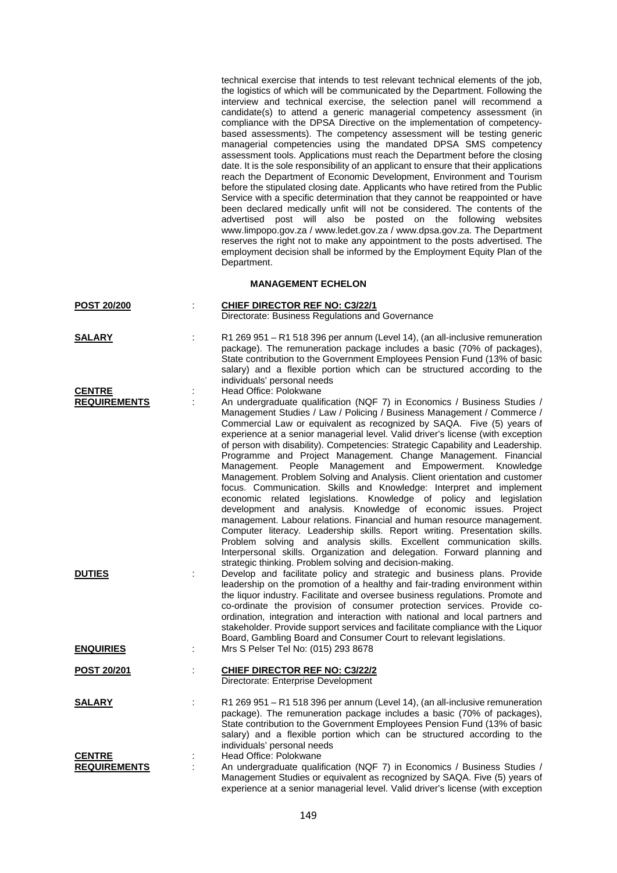technical exercise that intends to test relevant technical elements of the job, the logistics of which will be communicated by the Department. Following the interview and technical exercise, the selection panel will recommend a candidate(s) to attend a generic managerial competency assessment (in compliance with the DPSA Directive on the implementation of competencybased assessments). The competency assessment will be testing generic managerial competencies using the mandated DPSA SMS competency assessment tools. Applications must reach the Department before the closing date. It is the sole responsibility of an applicant to ensure that their applications reach the Department of Economic Development, Environment and Tourism before the stipulated closing date. Applicants who have retired from the Public Service with a specific determination that they cannot be reappointed or have been declared medically unfit will not be considered. The contents of the advertised post will also be posted on the following websites www.limpopo.gov.za / www.ledet.gov.za / www.dpsa.gov.za. The Department reserves the right not to make any appointment to the posts advertised. The employment decision shall be informed by the Employment Equity Plan of the Department.

## **MANAGEMENT ECHELON**

| <b>POST 20/200</b>                   |    | <b>CHIEF DIRECTOR REF NO: C3/22/1</b><br>Directorate: Business Regulations and Governance                                                                                                                                                                                                                                                                                                                                                                                                                                                                                                                                                                                                                                                                                                                                                                                                                                                                                                                                                                                                                                                                        |
|--------------------------------------|----|------------------------------------------------------------------------------------------------------------------------------------------------------------------------------------------------------------------------------------------------------------------------------------------------------------------------------------------------------------------------------------------------------------------------------------------------------------------------------------------------------------------------------------------------------------------------------------------------------------------------------------------------------------------------------------------------------------------------------------------------------------------------------------------------------------------------------------------------------------------------------------------------------------------------------------------------------------------------------------------------------------------------------------------------------------------------------------------------------------------------------------------------------------------|
| <b>SALARY</b>                        |    | R1 269 951 - R1 518 396 per annum (Level 14), (an all-inclusive remuneration<br>package). The remuneration package includes a basic (70% of packages),<br>State contribution to the Government Employees Pension Fund (13% of basic<br>salary) and a flexible portion which can be structured according to the<br>individuals' personal needs                                                                                                                                                                                                                                                                                                                                                                                                                                                                                                                                                                                                                                                                                                                                                                                                                    |
| <b>CENTRE</b><br><b>REQUIREMENTS</b> | İ, | Head Office: Polokwane<br>An undergraduate qualification (NQF 7) in Economics / Business Studies /<br>Management Studies / Law / Policing / Business Management / Commerce /<br>Commercial Law or equivalent as recognized by SAQA. Five (5) years of<br>experience at a senior managerial level. Valid driver's license (with exception<br>of person with disability). Competencies: Strategic Capability and Leadership.<br>Programme and Project Management. Change Management. Financial<br>Management. People Management and Empowerment. Knowledge<br>Management. Problem Solving and Analysis. Client orientation and customer<br>focus. Communication. Skills and Knowledge: Interpret and implement<br>economic related legislations. Knowledge of policy and legislation<br>development and analysis. Knowledge of economic issues. Project<br>management. Labour relations. Financial and human resource management.<br>Computer literacy. Leadership skills. Report writing. Presentation skills.<br>Problem solving and analysis skills. Excellent communication skills.<br>Interpersonal skills. Organization and delegation. Forward planning and |
| <b>DUTIES</b>                        | t  | strategic thinking. Problem solving and decision-making.<br>Develop and facilitate policy and strategic and business plans. Provide<br>leadership on the promotion of a healthy and fair-trading environment within<br>the liquor industry. Facilitate and oversee business regulations. Promote and<br>co-ordinate the provision of consumer protection services. Provide co-<br>ordination, integration and interaction with national and local partners and<br>stakeholder. Provide support services and facilitate compliance with the Liquor<br>Board, Gambling Board and Consumer Court to relevant legislations.                                                                                                                                                                                                                                                                                                                                                                                                                                                                                                                                          |
| <b>ENQUIRIES</b>                     | ÷  | Mrs S Pelser Tel No: (015) 293 8678                                                                                                                                                                                                                                                                                                                                                                                                                                                                                                                                                                                                                                                                                                                                                                                                                                                                                                                                                                                                                                                                                                                              |
| <b>POST 20/201</b>                   |    | <b>CHIEF DIRECTOR REF NO: C3/22/2</b><br>Directorate: Enterprise Development                                                                                                                                                                                                                                                                                                                                                                                                                                                                                                                                                                                                                                                                                                                                                                                                                                                                                                                                                                                                                                                                                     |
| <b>SALARY</b>                        | ÷  | R1 269 951 - R1 518 396 per annum (Level 14), (an all-inclusive remuneration<br>package). The remuneration package includes a basic (70% of packages),<br>State contribution to the Government Employees Pension Fund (13% of basic<br>salary) and a flexible portion which can be structured according to the<br>individuals' personal needs                                                                                                                                                                                                                                                                                                                                                                                                                                                                                                                                                                                                                                                                                                                                                                                                                    |
| <b>CENTRE</b><br><b>REQUIREMENTS</b> |    | Head Office: Polokwane<br>An undergraduate qualification (NQF 7) in Economics / Business Studies /<br>Management Studies or equivalent as recognized by SAQA. Five (5) years of                                                                                                                                                                                                                                                                                                                                                                                                                                                                                                                                                                                                                                                                                                                                                                                                                                                                                                                                                                                  |

experience at a senior managerial level. Valid driver's license (with exception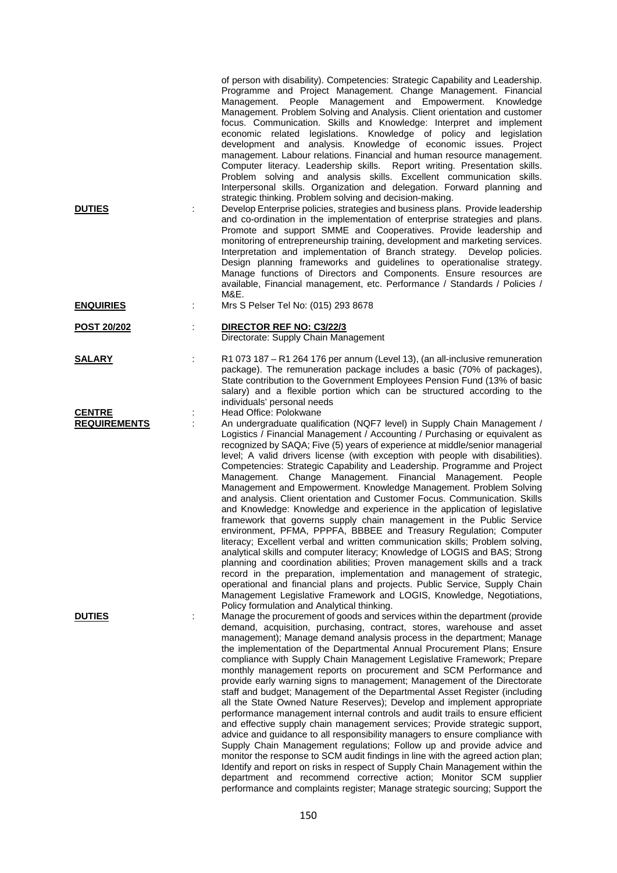| <b>DUTIES</b>                        | of person with disability). Competencies: Strategic Capability and Leadership.<br>Programme and Project Management. Change Management. Financial<br>Management. People Management and Empowerment. Knowledge<br>Management. Problem Solving and Analysis. Client orientation and customer<br>focus. Communication. Skills and Knowledge: Interpret and implement<br>economic related legislations. Knowledge of policy and legislation<br>development and analysis. Knowledge of economic issues. Project<br>management. Labour relations. Financial and human resource management.<br>Computer literacy. Leadership skills. Report writing. Presentation skills.<br>Problem solving and analysis skills. Excellent communication skills.<br>Interpersonal skills. Organization and delegation. Forward planning and<br>strategic thinking. Problem solving and decision-making.<br>Develop Enterprise policies, strategies and business plans. Provide leadership<br>and co-ordination in the implementation of enterprise strategies and plans.<br>Promote and support SMME and Cooperatives. Provide leadership and<br>monitoring of entrepreneurship training, development and marketing services.<br>Interpretation and implementation of Branch strategy. Develop policies.<br>Design planning frameworks and guidelines to operationalise strategy.<br>Manage functions of Directors and Components. Ensure resources are<br>available, Financial management, etc. Performance / Standards / Policies /<br>M&E. |
|--------------------------------------|------------------------------------------------------------------------------------------------------------------------------------------------------------------------------------------------------------------------------------------------------------------------------------------------------------------------------------------------------------------------------------------------------------------------------------------------------------------------------------------------------------------------------------------------------------------------------------------------------------------------------------------------------------------------------------------------------------------------------------------------------------------------------------------------------------------------------------------------------------------------------------------------------------------------------------------------------------------------------------------------------------------------------------------------------------------------------------------------------------------------------------------------------------------------------------------------------------------------------------------------------------------------------------------------------------------------------------------------------------------------------------------------------------------------------------------------------------------------------------------------------------------------|
| <b>ENQUIRIES</b>                     | Mrs S Pelser Tel No: (015) 293 8678                                                                                                                                                                                                                                                                                                                                                                                                                                                                                                                                                                                                                                                                                                                                                                                                                                                                                                                                                                                                                                                                                                                                                                                                                                                                                                                                                                                                                                                                                    |
| POST 20/202                          | DIRECTOR REF NO: C3/22/3<br>Directorate: Supply Chain Management                                                                                                                                                                                                                                                                                                                                                                                                                                                                                                                                                                                                                                                                                                                                                                                                                                                                                                                                                                                                                                                                                                                                                                                                                                                                                                                                                                                                                                                       |
| <b>SALARY</b>                        | R1 073 187 - R1 264 176 per annum (Level 13), (an all-inclusive remuneration<br>package). The remuneration package includes a basic (70% of packages),<br>State contribution to the Government Employees Pension Fund (13% of basic<br>salary) and a flexible portion which can be structured according to the<br>individuals' personal needs                                                                                                                                                                                                                                                                                                                                                                                                                                                                                                                                                                                                                                                                                                                                                                                                                                                                                                                                                                                                                                                                                                                                                                          |
| <b>CENTRE</b><br><b>REQUIREMENTS</b> | Head Office: Polokwane<br>÷<br>An undergraduate qualification (NQF7 level) in Supply Chain Management /<br>Logistics / Financial Management / Accounting / Purchasing or equivalent as<br>recognized by SAQA; Five (5) years of experience at middle/senior managerial<br>level; A valid drivers license (with exception with people with disabilities).<br>Competencies: Strategic Capability and Leadership. Programme and Project<br>Management. Change Management. Financial Management.<br>People<br>Management and Empowerment. Knowledge Management. Problem Solving<br>and analysis. Client orientation and Customer Focus. Communication. Skills<br>and Knowledge: Knowledge and experience in the application of legislative<br>framework that governs supply chain management in the Public Service<br>environment, PFMA, PPPFA, BBBEE and Treasury Regulation; Computer<br>literacy; Excellent verbal and written communication skills; Problem solving,<br>analytical skills and computer literacy; Knowledge of LOGIS and BAS; Strong<br>planning and coordination abilities; Proven management skills and a track<br>record in the preparation, implementation and management of strategic,<br>operational and financial plans and projects. Public Service, Supply Chain<br>Management Legislative Framework and LOGIS, Knowledge, Negotiations,<br>Policy formulation and Analytical thinking.                                                                                                        |
| <b>DUTIES</b>                        | Manage the procurement of goods and services within the department (provide<br>demand, acquisition, purchasing, contract, stores, warehouse and asset<br>management); Manage demand analysis process in the department; Manage<br>the implementation of the Departmental Annual Procurement Plans; Ensure<br>compliance with Supply Chain Management Legislative Framework; Prepare<br>monthly management reports on procurement and SCM Performance and<br>provide early warning signs to management; Management of the Directorate<br>staff and budget; Management of the Departmental Asset Register (including<br>all the State Owned Nature Reserves); Develop and implement appropriate<br>performance management internal controls and audit trails to ensure efficient<br>and effective supply chain management services; Provide strategic support,<br>advice and guidance to all responsibility managers to ensure compliance with<br>Supply Chain Management regulations; Follow up and provide advice and<br>monitor the response to SCM audit findings in line with the agreed action plan;<br>Identify and report on risks in respect of Supply Chain Management within the<br>department and recommend corrective action; Monitor SCM supplier<br>performance and complaints register; Manage strategic sourcing; Support the                                                                                                                                                                           |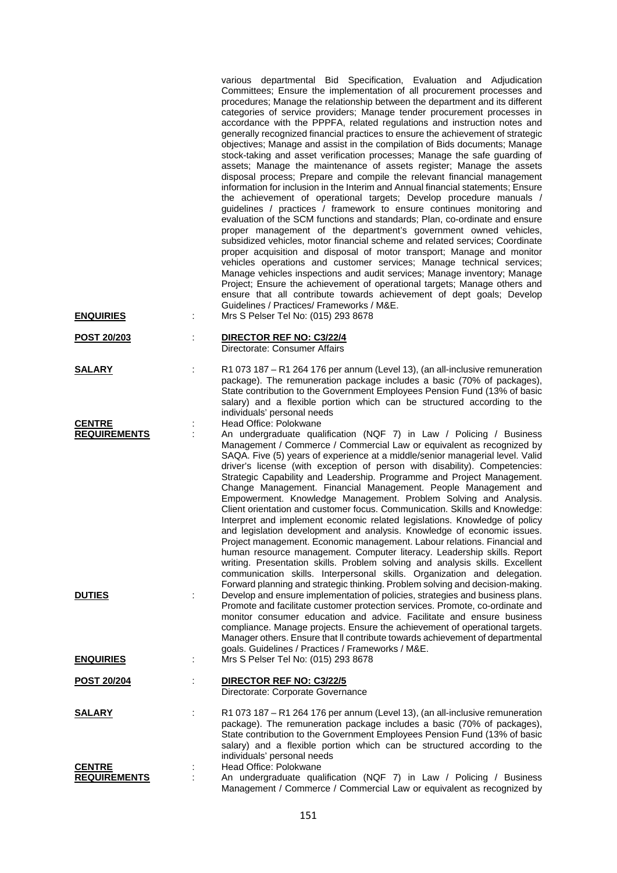| <b>ENQUIRIES</b>                     | İ. | various departmental Bid Specification, Evaluation and Adjudication<br>Committees; Ensure the implementation of all procurement processes and<br>procedures; Manage the relationship between the department and its different<br>categories of service providers; Manage tender procurement processes in<br>accordance with the PPPFA, related regulations and instruction notes and<br>generally recognized financial practices to ensure the achievement of strategic<br>objectives; Manage and assist in the compilation of Bids documents; Manage<br>stock-taking and asset verification processes; Manage the safe guarding of<br>assets; Manage the maintenance of assets register; Manage the assets<br>disposal process; Prepare and compile the relevant financial management<br>information for inclusion in the Interim and Annual financial statements; Ensure<br>the achievement of operational targets; Develop procedure manuals /<br>guidelines / practices / framework to ensure continues monitoring and<br>evaluation of the SCM functions and standards; Plan, co-ordinate and ensure<br>proper management of the department's government owned vehicles,<br>subsidized vehicles, motor financial scheme and related services; Coordinate<br>proper acquisition and disposal of motor transport; Manage and monitor<br>vehicles operations and customer services; Manage technical services;<br>Manage vehicles inspections and audit services; Manage inventory; Manage<br>Project; Ensure the achievement of operational targets; Manage others and<br>ensure that all contribute towards achievement of dept goals; Develop<br>Guidelines / Practices/ Frameworks / M&E.<br>Mrs S Pelser Tel No: (015) 293 8678 |
|--------------------------------------|----|----------------------------------------------------------------------------------------------------------------------------------------------------------------------------------------------------------------------------------------------------------------------------------------------------------------------------------------------------------------------------------------------------------------------------------------------------------------------------------------------------------------------------------------------------------------------------------------------------------------------------------------------------------------------------------------------------------------------------------------------------------------------------------------------------------------------------------------------------------------------------------------------------------------------------------------------------------------------------------------------------------------------------------------------------------------------------------------------------------------------------------------------------------------------------------------------------------------------------------------------------------------------------------------------------------------------------------------------------------------------------------------------------------------------------------------------------------------------------------------------------------------------------------------------------------------------------------------------------------------------------------------------------------------------------------------------------------------------------------------|
| <u>POST 20/203</u>                   |    | DIRECTOR REF NO: C3/22/4<br>Directorate: Consumer Affairs                                                                                                                                                                                                                                                                                                                                                                                                                                                                                                                                                                                                                                                                                                                                                                                                                                                                                                                                                                                                                                                                                                                                                                                                                                                                                                                                                                                                                                                                                                                                                                                                                                                                              |
| <b>SALARY</b>                        | t. | R1 073 187 - R1 264 176 per annum (Level 13), (an all-inclusive remuneration<br>package). The remuneration package includes a basic (70% of packages),<br>State contribution to the Government Employees Pension Fund (13% of basic<br>salary) and a flexible portion which can be structured according to the<br>individuals' personal needs                                                                                                                                                                                                                                                                                                                                                                                                                                                                                                                                                                                                                                                                                                                                                                                                                                                                                                                                                                                                                                                                                                                                                                                                                                                                                                                                                                                          |
| <b>CENTRE</b><br><b>REQUIREMENTS</b> | ÷  | Head Office: Polokwane<br>An undergraduate qualification (NQF 7) in Law / Policing / Business<br>Management / Commerce / Commercial Law or equivalent as recognized by<br>SAQA. Five (5) years of experience at a middle/senior managerial level. Valid<br>driver's license (with exception of person with disability). Competencies:<br>Strategic Capability and Leadership. Programme and Project Management.<br>Change Management. Financial Management. People Management and<br>Empowerment. Knowledge Management. Problem Solving and Analysis.<br>Client orientation and customer focus. Communication. Skills and Knowledge:<br>Interpret and implement economic related legislations. Knowledge of policy<br>and legislation development and analysis. Knowledge of economic issues.<br>Project management. Economic management. Labour relations. Financial and<br>human resource management. Computer literacy. Leadership skills. Report<br>writing. Presentation skills. Problem solving and analysis skills. Excellent<br>communication skills. Interpersonal skills. Organization and delegation.<br>Forward planning and strategic thinking. Problem solving and decision-making.                                                                                                                                                                                                                                                                                                                                                                                                                                                                                                                                      |
| <b>DUTIES</b>                        |    | Develop and ensure implementation of policies, strategies and business plans.<br>Promote and facilitate customer protection services. Promote, co-ordinate and<br>monitor consumer education and advice. Facilitate and ensure business<br>compliance. Manage projects. Ensure the achievement of operational targets.<br>Manager others. Ensure that II contribute towards achievement of departmental<br>goals. Guidelines / Practices / Frameworks / M&E.                                                                                                                                                                                                                                                                                                                                                                                                                                                                                                                                                                                                                                                                                                                                                                                                                                                                                                                                                                                                                                                                                                                                                                                                                                                                           |
| <b>ENQUIRIES</b>                     | ÷  | Mrs S Pelser Tel No: (015) 293 8678                                                                                                                                                                                                                                                                                                                                                                                                                                                                                                                                                                                                                                                                                                                                                                                                                                                                                                                                                                                                                                                                                                                                                                                                                                                                                                                                                                                                                                                                                                                                                                                                                                                                                                    |
| <b>POST 20/204</b>                   |    | DIRECTOR REF NO: C3/22/5<br>Directorate: Corporate Governance                                                                                                                                                                                                                                                                                                                                                                                                                                                                                                                                                                                                                                                                                                                                                                                                                                                                                                                                                                                                                                                                                                                                                                                                                                                                                                                                                                                                                                                                                                                                                                                                                                                                          |
| <b>SALARY</b>                        | ÷  | R1 073 187 - R1 264 176 per annum (Level 13), (an all-inclusive remuneration<br>package). The remuneration package includes a basic (70% of packages),<br>State contribution to the Government Employees Pension Fund (13% of basic<br>salary) and a flexible portion which can be structured according to the<br>individuals' personal needs                                                                                                                                                                                                                                                                                                                                                                                                                                                                                                                                                                                                                                                                                                                                                                                                                                                                                                                                                                                                                                                                                                                                                                                                                                                                                                                                                                                          |
| <b>CENTRE</b><br><b>REQUIREMENTS</b> | ÷  | Head Office: Polokwane<br>An undergraduate qualification (NQF 7) in Law / Policing / Business<br>Management / Commerce / Commercial Law or equivalent as recognized by                                                                                                                                                                                                                                                                                                                                                                                                                                                                                                                                                                                                                                                                                                                                                                                                                                                                                                                                                                                                                                                                                                                                                                                                                                                                                                                                                                                                                                                                                                                                                                 |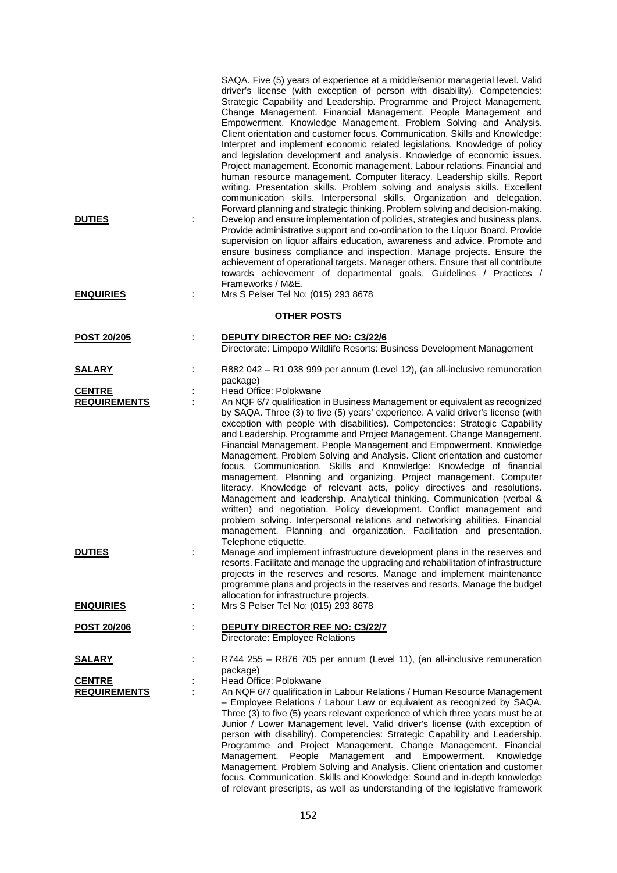| <b>DUTIES</b><br><b>ENQUIRIES</b>    | SAQA. Five (5) years of experience at a middle/senior managerial level. Valid<br>driver's license (with exception of person with disability). Competencies:<br>Strategic Capability and Leadership. Programme and Project Management.<br>Change Management. Financial Management. People Management and<br>Empowerment. Knowledge Management. Problem Solving and Analysis.<br>Client orientation and customer focus. Communication. Skills and Knowledge:<br>Interpret and implement economic related legislations. Knowledge of policy<br>and legislation development and analysis. Knowledge of economic issues.<br>Project management. Economic management. Labour relations. Financial and<br>human resource management. Computer literacy. Leadership skills. Report<br>writing. Presentation skills. Problem solving and analysis skills. Excellent<br>communication skills. Interpersonal skills. Organization and delegation.<br>Forward planning and strategic thinking. Problem solving and decision-making.<br>Develop and ensure implementation of policies, strategies and business plans.<br>÷<br>Provide administrative support and co-ordination to the Liquor Board. Provide<br>supervision on liquor affairs education, awareness and advice. Promote and<br>ensure business compliance and inspection. Manage projects. Ensure the<br>achievement of operational targets. Manager others. Ensure that all contribute<br>towards achievement of departmental goals. Guidelines / Practices /<br>Frameworks / M&E.<br>Mrs S Pelser Tel No: (015) 293 8678<br>t |
|--------------------------------------|----------------------------------------------------------------------------------------------------------------------------------------------------------------------------------------------------------------------------------------------------------------------------------------------------------------------------------------------------------------------------------------------------------------------------------------------------------------------------------------------------------------------------------------------------------------------------------------------------------------------------------------------------------------------------------------------------------------------------------------------------------------------------------------------------------------------------------------------------------------------------------------------------------------------------------------------------------------------------------------------------------------------------------------------------------------------------------------------------------------------------------------------------------------------------------------------------------------------------------------------------------------------------------------------------------------------------------------------------------------------------------------------------------------------------------------------------------------------------------------------------------------------------------------------------------------------------------|
|                                      | <b>OTHER POSTS</b>                                                                                                                                                                                                                                                                                                                                                                                                                                                                                                                                                                                                                                                                                                                                                                                                                                                                                                                                                                                                                                                                                                                                                                                                                                                                                                                                                                                                                                                                                                                                                               |
| POST 20/205                          | <b>DEPUTY DIRECTOR REF NO: C3/22/6</b><br>İ<br>Directorate: Limpopo Wildlife Resorts: Business Development Management                                                                                                                                                                                                                                                                                                                                                                                                                                                                                                                                                                                                                                                                                                                                                                                                                                                                                                                                                                                                                                                                                                                                                                                                                                                                                                                                                                                                                                                            |
| <u>SALARY</u>                        | R882 042 - R1 038 999 per annum (Level 12), (an all-inclusive remuneration<br>package)                                                                                                                                                                                                                                                                                                                                                                                                                                                                                                                                                                                                                                                                                                                                                                                                                                                                                                                                                                                                                                                                                                                                                                                                                                                                                                                                                                                                                                                                                           |
| <b>CENTRE</b><br><b>REQUIREMENTS</b> | Head Office: Polokwane<br>An NQF 6/7 qualification in Business Management or equivalent as recognized                                                                                                                                                                                                                                                                                                                                                                                                                                                                                                                                                                                                                                                                                                                                                                                                                                                                                                                                                                                                                                                                                                                                                                                                                                                                                                                                                                                                                                                                            |
|                                      | by SAQA. Three (3) to five (5) years' experience. A valid driver's license (with<br>exception with people with disabilities). Competencies: Strategic Capability<br>and Leadership. Programme and Project Management. Change Management.<br>Financial Management. People Management and Empowerment. Knowledge<br>Management. Problem Solving and Analysis. Client orientation and customer<br>focus. Communication. Skills and Knowledge: Knowledge of financial<br>management. Planning and organizing. Project management. Computer<br>literacy. Knowledge of relevant acts, policy directives and resolutions.<br>Management and leadership. Analytical thinking. Communication (verbal &<br>written) and negotiation. Policy development. Conflict management and<br>problem solving. Interpersonal relations and networking abilities. Financial<br>management. Planning and organization. Facilitation and presentation.<br>Telephone etiquette.                                                                                                                                                                                                                                                                                                                                                                                                                                                                                                                                                                                                                          |
| <b>DUTIES</b>                        | Manage and implement infrastructure development plans in the reserves and<br>resorts. Facilitate and manage the upgrading and rehabilitation of infrastructure<br>projects in the reserves and resorts. Manage and implement maintenance<br>programme plans and projects in the reserves and resorts. Manage the budget<br>allocation for infrastructure projects.                                                                                                                                                                                                                                                                                                                                                                                                                                                                                                                                                                                                                                                                                                                                                                                                                                                                                                                                                                                                                                                                                                                                                                                                               |
| <b>ENQUIRIES</b>                     | Mrs S Pelser Tel No: (015) 293 8678<br>÷                                                                                                                                                                                                                                                                                                                                                                                                                                                                                                                                                                                                                                                                                                                                                                                                                                                                                                                                                                                                                                                                                                                                                                                                                                                                                                                                                                                                                                                                                                                                         |
| <b>POST 20/206</b>                   | <b>DEPUTY DIRECTOR REF NO: C3/22/7</b><br>Directorate: Employee Relations                                                                                                                                                                                                                                                                                                                                                                                                                                                                                                                                                                                                                                                                                                                                                                                                                                                                                                                                                                                                                                                                                                                                                                                                                                                                                                                                                                                                                                                                                                        |
| <b>SALARY</b>                        | R744 255 - R876 705 per annum (Level 11), (an all-inclusive remuneration<br>package)                                                                                                                                                                                                                                                                                                                                                                                                                                                                                                                                                                                                                                                                                                                                                                                                                                                                                                                                                                                                                                                                                                                                                                                                                                                                                                                                                                                                                                                                                             |
| <b>CENTRE</b>                        | Head Office: Polokwane                                                                                                                                                                                                                                                                                                                                                                                                                                                                                                                                                                                                                                                                                                                                                                                                                                                                                                                                                                                                                                                                                                                                                                                                                                                                                                                                                                                                                                                                                                                                                           |
| <b>REQUIREMENTS</b>                  | An NQF 6/7 qualification in Labour Relations / Human Resource Management<br>- Employee Relations / Labour Law or equivalent as recognized by SAQA.<br>Three (3) to five (5) years relevant experience of which three years must be at<br>Junior / Lower Management level. Valid driver's license (with exception of<br>person with disability). Competencies: Strategic Capability and Leadership.<br>Programme and Project Management. Change Management. Financial<br>Management.<br>People Management and Empowerment.<br>Knowledge<br>Management. Problem Solving and Analysis. Client orientation and customer<br>focus. Communication. Skills and Knowledge: Sound and in-depth knowledge                                                                                                                                                                                                                                                                                                                                                                                                                                                                                                                                                                                                                                                                                                                                                                                                                                                                                  |

of relevant prescripts, as well as understanding of the legislative framework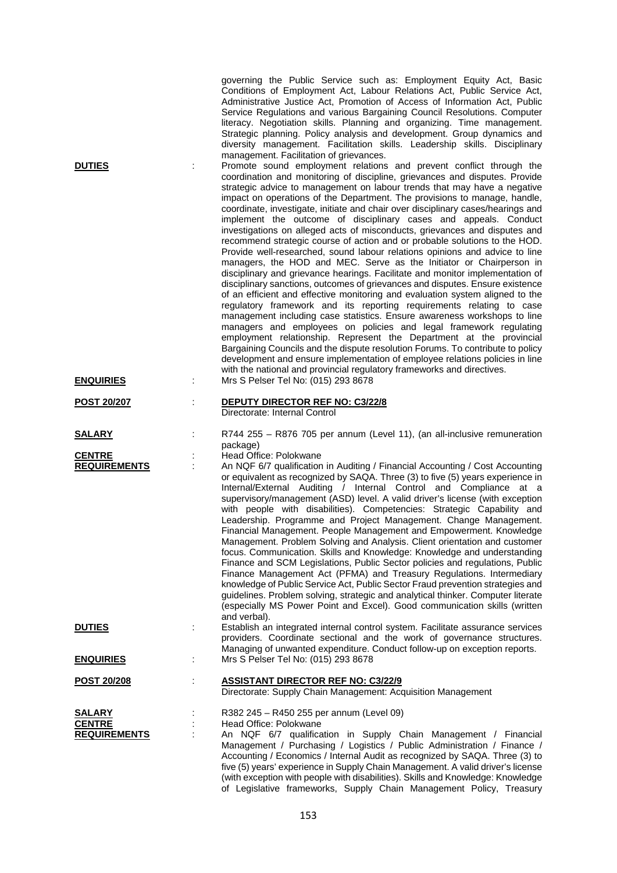|                                                       |   | governing the Public Service such as: Employment Equity Act, Basic<br>Conditions of Employment Act, Labour Relations Act, Public Service Act,<br>Administrative Justice Act, Promotion of Access of Information Act, Public<br>Service Regulations and various Bargaining Council Resolutions. Computer<br>literacy. Negotiation skills. Planning and organizing. Time management.<br>Strategic planning. Policy analysis and development. Group dynamics and<br>diversity management. Facilitation skills. Leadership skills. Disciplinary<br>management. Facilitation of grievances.                                                                                                                                                                                                                                                                                                                                                                                                                                                                                                                                                                                                                                                                                                                                                                                                                                                                                                                                                                                               |
|-------------------------------------------------------|---|--------------------------------------------------------------------------------------------------------------------------------------------------------------------------------------------------------------------------------------------------------------------------------------------------------------------------------------------------------------------------------------------------------------------------------------------------------------------------------------------------------------------------------------------------------------------------------------------------------------------------------------------------------------------------------------------------------------------------------------------------------------------------------------------------------------------------------------------------------------------------------------------------------------------------------------------------------------------------------------------------------------------------------------------------------------------------------------------------------------------------------------------------------------------------------------------------------------------------------------------------------------------------------------------------------------------------------------------------------------------------------------------------------------------------------------------------------------------------------------------------------------------------------------------------------------------------------------|
| <b>DUTIES</b>                                         |   | Promote sound employment relations and prevent conflict through the<br>coordination and monitoring of discipline, grievances and disputes. Provide<br>strategic advice to management on labour trends that may have a negative<br>impact on operations of the Department. The provisions to manage, handle,<br>coordinate, investigate, initiate and chair over disciplinary cases/hearings and<br>implement the outcome of disciplinary cases and appeals. Conduct<br>investigations on alleged acts of misconducts, grievances and disputes and<br>recommend strategic course of action and or probable solutions to the HOD.<br>Provide well-researched, sound labour relations opinions and advice to line<br>managers, the HOD and MEC. Serve as the Initiator or Chairperson in<br>disciplinary and grievance hearings. Facilitate and monitor implementation of<br>disciplinary sanctions, outcomes of grievances and disputes. Ensure existence<br>of an efficient and effective monitoring and evaluation system aligned to the<br>regulatory framework and its reporting requirements relating to case<br>management including case statistics. Ensure awareness workshops to line<br>managers and employees on policies and legal framework regulating<br>employment relationship. Represent the Department at the provincial<br>Bargaining Councils and the dispute resolution Forums. To contribute to policy<br>development and ensure implementation of employee relations policies in line<br>with the national and provincial regulatory frameworks and directives. |
| <b>ENQUIRIES</b>                                      | ÷ | Mrs S Pelser Tel No: (015) 293 8678                                                                                                                                                                                                                                                                                                                                                                                                                                                                                                                                                                                                                                                                                                                                                                                                                                                                                                                                                                                                                                                                                                                                                                                                                                                                                                                                                                                                                                                                                                                                                  |
| <b>POST 20/207</b>                                    |   | <b>DEPUTY DIRECTOR REF NO: C3/22/8</b><br>Directorate: Internal Control                                                                                                                                                                                                                                                                                                                                                                                                                                                                                                                                                                                                                                                                                                                                                                                                                                                                                                                                                                                                                                                                                                                                                                                                                                                                                                                                                                                                                                                                                                              |
| <b>SALARY</b>                                         |   | R744 255 - R876 705 per annum (Level 11), (an all-inclusive remuneration<br>package)                                                                                                                                                                                                                                                                                                                                                                                                                                                                                                                                                                                                                                                                                                                                                                                                                                                                                                                                                                                                                                                                                                                                                                                                                                                                                                                                                                                                                                                                                                 |
| <b>CENTRE</b><br><b>REQUIREMENTS</b>                  |   | Head Office: Polokwane<br>An NQF 6/7 qualification in Auditing / Financial Accounting / Cost Accounting<br>or equivalent as recognized by SAQA. Three (3) to five (5) years experience in<br>Internal/External Auditing / Internal Control and Compliance at a<br>supervisory/management (ASD) level. A valid driver's license (with exception<br>with people with disabilities). Competencies: Strategic Capability and<br>Leadership. Programme and Project Management. Change Management.<br>Financial Management. People Management and Empowerment. Knowledge<br>Management. Problem Solving and Analysis. Client orientation and customer<br>focus. Communication. Skills and Knowledge: Knowledge and understanding<br>Finance and SCM Legislations, Public Sector policies and regulations, Public<br>Finance Management Act (PFMA) and Treasury Regulations. Intermediary<br>knowledge of Public Service Act, Public Sector Fraud prevention strategies and<br>guidelines. Problem solving, strategic and analytical thinker. Computer literate<br>(especially MS Power Point and Excel). Good communication skills (written<br>and verbal).                                                                                                                                                                                                                                                                                                                                                                                                                                |
| <b>DUTIES</b>                                         |   | Establish an integrated internal control system. Facilitate assurance services<br>providers. Coordinate sectional and the work of governance structures.<br>Managing of unwanted expenditure. Conduct follow-up on exception reports.                                                                                                                                                                                                                                                                                                                                                                                                                                                                                                                                                                                                                                                                                                                                                                                                                                                                                                                                                                                                                                                                                                                                                                                                                                                                                                                                                |
| <b>ENQUIRIES</b>                                      |   | Mrs S Pelser Tel No: (015) 293 8678                                                                                                                                                                                                                                                                                                                                                                                                                                                                                                                                                                                                                                                                                                                                                                                                                                                                                                                                                                                                                                                                                                                                                                                                                                                                                                                                                                                                                                                                                                                                                  |
| POST 20/208                                           |   | <b>ASSISTANT DIRECTOR REF NO: C3/22/9</b><br>Directorate: Supply Chain Management: Acquisition Management                                                                                                                                                                                                                                                                                                                                                                                                                                                                                                                                                                                                                                                                                                                                                                                                                                                                                                                                                                                                                                                                                                                                                                                                                                                                                                                                                                                                                                                                            |
| <u>SALARY</u><br><b>CENTRE</b><br><b>REQUIREMENTS</b> |   | R382 245 - R450 255 per annum (Level 09)<br>Head Office: Polokwane<br>An NQF 6/7 qualification in Supply Chain Management / Financial<br>Management / Purchasing / Logistics / Public Administration / Finance /<br>Accounting / Economics / Internal Audit as recognized by SAQA. Three (3) to<br>five (5) years' experience in Supply Chain Management. A valid driver's license<br>(with exception with people with disabilities). Skills and Knowledge: Knowledge<br>of Legislative frameworks, Supply Chain Management Policy, Treasury                                                                                                                                                                                                                                                                                                                                                                                                                                                                                                                                                                                                                                                                                                                                                                                                                                                                                                                                                                                                                                         |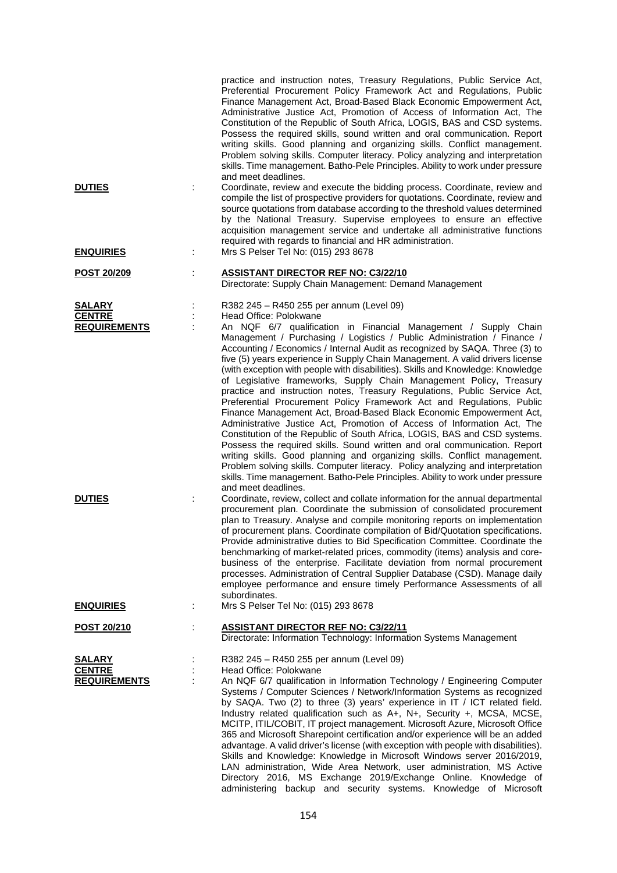|                                      |   | practice and instruction notes, Treasury Regulations, Public Service Act,<br>Preferential Procurement Policy Framework Act and Regulations, Public<br>Finance Management Act, Broad-Based Black Economic Empowerment Act,<br>Administrative Justice Act, Promotion of Access of Information Act, The<br>Constitution of the Republic of South Africa, LOGIS, BAS and CSD systems.<br>Possess the required skills, sound written and oral communication. Report<br>writing skills. Good planning and organizing skills. Conflict management.<br>Problem solving skills. Computer literacy. Policy analyzing and interpretation<br>skills. Time management. Batho-Pele Principles. Ability to work under pressure                                                                                                                                                                                                                                                                                                                                                                                                                                                                                                                                                                                                                                                                                                                                                                                                                                                                                                                                                                                                                                                                                                                                                      |
|--------------------------------------|---|----------------------------------------------------------------------------------------------------------------------------------------------------------------------------------------------------------------------------------------------------------------------------------------------------------------------------------------------------------------------------------------------------------------------------------------------------------------------------------------------------------------------------------------------------------------------------------------------------------------------------------------------------------------------------------------------------------------------------------------------------------------------------------------------------------------------------------------------------------------------------------------------------------------------------------------------------------------------------------------------------------------------------------------------------------------------------------------------------------------------------------------------------------------------------------------------------------------------------------------------------------------------------------------------------------------------------------------------------------------------------------------------------------------------------------------------------------------------------------------------------------------------------------------------------------------------------------------------------------------------------------------------------------------------------------------------------------------------------------------------------------------------------------------------------------------------------------------------------------------------|
| <b>DUTIES</b>                        |   | and meet deadlines.<br>Coordinate, review and execute the bidding process. Coordinate, review and<br>compile the list of prospective providers for quotations. Coordinate, review and<br>source quotations from database according to the threshold values determined<br>by the National Treasury. Supervise employees to ensure an effective<br>acquisition management service and undertake all administrative functions<br>required with regards to financial and HR administration.                                                                                                                                                                                                                                                                                                                                                                                                                                                                                                                                                                                                                                                                                                                                                                                                                                                                                                                                                                                                                                                                                                                                                                                                                                                                                                                                                                              |
| <b>ENQUIRIES</b>                     | ÷ | Mrs S Pelser Tel No: (015) 293 8678                                                                                                                                                                                                                                                                                                                                                                                                                                                                                                                                                                                                                                                                                                                                                                                                                                                                                                                                                                                                                                                                                                                                                                                                                                                                                                                                                                                                                                                                                                                                                                                                                                                                                                                                                                                                                                  |
| POST 20/209                          |   | <b>ASSISTANT DIRECTOR REF NO: C3/22/10</b><br>Directorate: Supply Chain Management: Demand Management                                                                                                                                                                                                                                                                                                                                                                                                                                                                                                                                                                                                                                                                                                                                                                                                                                                                                                                                                                                                                                                                                                                                                                                                                                                                                                                                                                                                                                                                                                                                                                                                                                                                                                                                                                |
| <b>SALARY</b>                        |   | R382 245 - R450 255 per annum (Level 09)                                                                                                                                                                                                                                                                                                                                                                                                                                                                                                                                                                                                                                                                                                                                                                                                                                                                                                                                                                                                                                                                                                                                                                                                                                                                                                                                                                                                                                                                                                                                                                                                                                                                                                                                                                                                                             |
| <b>CENTRE</b>                        |   | Head Office: Polokwane                                                                                                                                                                                                                                                                                                                                                                                                                                                                                                                                                                                                                                                                                                                                                                                                                                                                                                                                                                                                                                                                                                                                                                                                                                                                                                                                                                                                                                                                                                                                                                                                                                                                                                                                                                                                                                               |
| <b>REQUIREMENTS</b><br><b>DUTIES</b> |   | An NQF 6/7 qualification in Financial Management / Supply Chain<br>Management / Purchasing / Logistics / Public Administration / Finance /<br>Accounting / Economics / Internal Audit as recognized by SAQA. Three (3) to<br>five (5) years experience in Supply Chain Management. A valid drivers license<br>(with exception with people with disabilities). Skills and Knowledge: Knowledge<br>of Legislative frameworks, Supply Chain Management Policy, Treasury<br>practice and instruction notes, Treasury Regulations, Public Service Act,<br>Preferential Procurement Policy Framework Act and Regulations, Public<br>Finance Management Act, Broad-Based Black Economic Empowerment Act,<br>Administrative Justice Act, Promotion of Access of Information Act, The<br>Constitution of the Republic of South Africa, LOGIS, BAS and CSD systems.<br>Possess the required skills. Sound written and oral communication. Report<br>writing skills. Good planning and organizing skills. Conflict management.<br>Problem solving skills. Computer literacy. Policy analyzing and interpretation<br>skills. Time management. Batho-Pele Principles. Ability to work under pressure<br>and meet deadlines.<br>Coordinate, review, collect and collate information for the annual departmental<br>procurement plan. Coordinate the submission of consolidated procurement<br>plan to Treasury. Analyse and compile monitoring reports on implementation<br>of procurement plans. Coordinate compilation of Bid/Quotation specifications.<br>Provide administrative duties to Bid Specification Committee. Coordinate the<br>benchmarking of market-related prices, commodity (items) analysis and core-<br>business of the enterprise. Facilitate deviation from normal procurement<br>processes. Administration of Central Supplier Database (CSD). Manage daily |
| <b>ENQUIRIES</b>                     | ÷ | employee performance and ensure timely Performance Assessments of all<br>subordinates.<br>Mrs S Pelser Tel No: (015) 293 8678                                                                                                                                                                                                                                                                                                                                                                                                                                                                                                                                                                                                                                                                                                                                                                                                                                                                                                                                                                                                                                                                                                                                                                                                                                                                                                                                                                                                                                                                                                                                                                                                                                                                                                                                        |
|                                      |   |                                                                                                                                                                                                                                                                                                                                                                                                                                                                                                                                                                                                                                                                                                                                                                                                                                                                                                                                                                                                                                                                                                                                                                                                                                                                                                                                                                                                                                                                                                                                                                                                                                                                                                                                                                                                                                                                      |
| <b>POST 20/210</b>                   | ÷ | <b>ASSISTANT DIRECTOR REF NO: C3/22/11</b><br>Directorate: Information Technology: Information Systems Management                                                                                                                                                                                                                                                                                                                                                                                                                                                                                                                                                                                                                                                                                                                                                                                                                                                                                                                                                                                                                                                                                                                                                                                                                                                                                                                                                                                                                                                                                                                                                                                                                                                                                                                                                    |
| <b>SALARY</b>                        |   | R382 245 - R450 255 per annum (Level 09)                                                                                                                                                                                                                                                                                                                                                                                                                                                                                                                                                                                                                                                                                                                                                                                                                                                                                                                                                                                                                                                                                                                                                                                                                                                                                                                                                                                                                                                                                                                                                                                                                                                                                                                                                                                                                             |
| <b>CENTRE</b>                        |   | Head Office: Polokwane                                                                                                                                                                                                                                                                                                                                                                                                                                                                                                                                                                                                                                                                                                                                                                                                                                                                                                                                                                                                                                                                                                                                                                                                                                                                                                                                                                                                                                                                                                                                                                                                                                                                                                                                                                                                                                               |
| <b>REQUIREMENTS</b>                  |   | An NQF 6/7 qualification in Information Technology / Engineering Computer<br>Systems / Computer Sciences / Network/Information Systems as recognized<br>by SAQA. Two (2) to three (3) years' experience in IT / ICT related field.<br>Industry related qualification such as A+, N+, Security +, MCSA, MCSE,<br>MCITP, ITIL/COBIT, IT project management. Microsoft Azure, Microsoft Office<br>365 and Microsoft Sharepoint certification and/or experience will be an added<br>advantage. A valid driver's license (with exception with people with disabilities).<br>Skills and Knowledge: Knowledge in Microsoft Windows server 2016/2019,<br>LAN administration, Wide Area Network, user administration, MS Active<br>Directory 2016, MS Exchange 2019/Exchange Online. Knowledge of<br>administering backup and security systems. Knowledge of Microsoft                                                                                                                                                                                                                                                                                                                                                                                                                                                                                                                                                                                                                                                                                                                                                                                                                                                                                                                                                                                                        |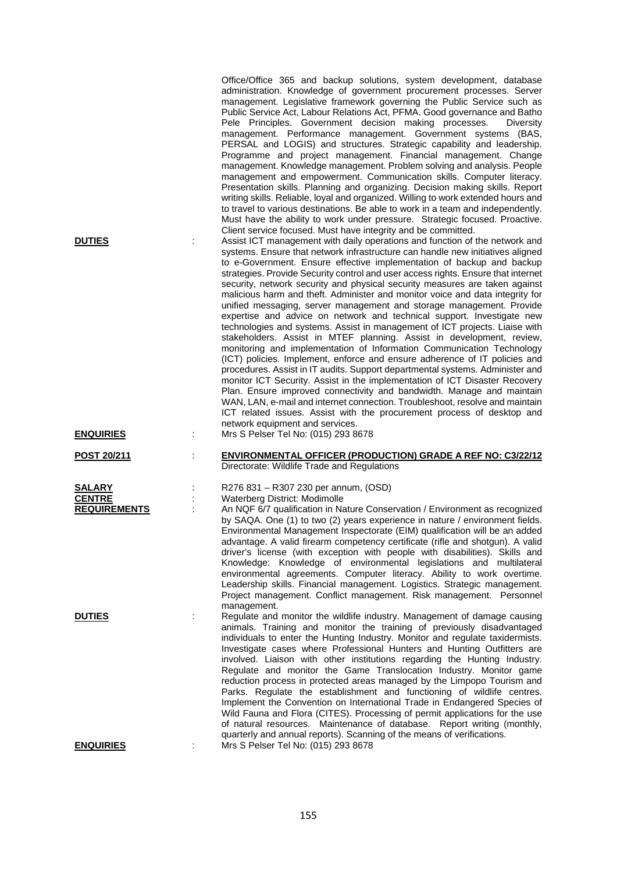| <b>DUTIES</b>                                  | Office/Office 365 and backup solutions, system development, database<br>administration. Knowledge of government procurement processes. Server<br>management. Legislative framework governing the Public Service such as<br>Public Service Act, Labour Relations Act, PFMA. Good governance and Batho<br>Pele Principles. Government decision making processes.<br>Diversity<br>management. Performance management. Government systems (BAS,<br>PERSAL and LOGIS) and structures. Strategic capability and leadership.<br>Programme and project management. Financial management. Change<br>management. Knowledge management. Problem solving and analysis. People<br>management and empowerment. Communication skills. Computer literacy.<br>Presentation skills. Planning and organizing. Decision making skills. Report<br>writing skills. Reliable, loyal and organized. Willing to work extended hours and<br>to travel to various destinations. Be able to work in a team and independently.<br>Must have the ability to work under pressure. Strategic focused. Proactive.<br>Client service focused. Must have integrity and be committed.<br>Assist ICT management with daily operations and function of the network and<br>systems. Ensure that network infrastructure can handle new initiatives aligned<br>to e-Government. Ensure effective implementation of backup and backup<br>strategies. Provide Security control and user access rights. Ensure that internet<br>security, network security and physical security measures are taken against<br>malicious harm and theft. Administer and monitor voice and data integrity for<br>unified messaging, server management and storage management. Provide<br>expertise and advice on network and technical support. Investigate new<br>technologies and systems. Assist in management of ICT projects. Liaise with<br>stakeholders. Assist in MTEF planning. Assist in development, review,<br>monitoring and implementation of Information Communication Technology<br>(ICT) policies. Implement, enforce and ensure adherence of IT policies and<br>procedures. Assist in IT audits. Support departmental systems. Administer and<br>monitor ICT Security. Assist in the implementation of ICT Disaster Recovery<br>Plan. Ensure improved connectivity and bandwidth. Manage and maintain<br>WAN, LAN, e-mail and internet connection. Troubleshoot, resolve and maintain<br>ICT related issues. Assist with the procurement process of desktop and<br>network equipment and services. |
|------------------------------------------------|---------------------------------------------------------------------------------------------------------------------------------------------------------------------------------------------------------------------------------------------------------------------------------------------------------------------------------------------------------------------------------------------------------------------------------------------------------------------------------------------------------------------------------------------------------------------------------------------------------------------------------------------------------------------------------------------------------------------------------------------------------------------------------------------------------------------------------------------------------------------------------------------------------------------------------------------------------------------------------------------------------------------------------------------------------------------------------------------------------------------------------------------------------------------------------------------------------------------------------------------------------------------------------------------------------------------------------------------------------------------------------------------------------------------------------------------------------------------------------------------------------------------------------------------------------------------------------------------------------------------------------------------------------------------------------------------------------------------------------------------------------------------------------------------------------------------------------------------------------------------------------------------------------------------------------------------------------------------------------------------------------------------------------------------------------------------------------------------------------------------------------------------------------------------------------------------------------------------------------------------------------------------------------------------------------------------------------------------------------------------------------------------------------------------------------------------------------------------------------------------------------------------------------------------------------|
| <b>ENQUIRIES</b>                               | Mrs S Pelser Tel No: (015) 293 8678                                                                                                                                                                                                                                                                                                                                                                                                                                                                                                                                                                                                                                                                                                                                                                                                                                                                                                                                                                                                                                                                                                                                                                                                                                                                                                                                                                                                                                                                                                                                                                                                                                                                                                                                                                                                                                                                                                                                                                                                                                                                                                                                                                                                                                                                                                                                                                                                                                                                                                                     |
| <b>POST 20/211</b>                             | <b>ENVIRONMENTAL OFFICER (PRODUCTION) GRADE A REF NO: C3/22/12</b><br>Directorate: Wildlife Trade and Regulations                                                                                                                                                                                                                                                                                                                                                                                                                                                                                                                                                                                                                                                                                                                                                                                                                                                                                                                                                                                                                                                                                                                                                                                                                                                                                                                                                                                                                                                                                                                                                                                                                                                                                                                                                                                                                                                                                                                                                                                                                                                                                                                                                                                                                                                                                                                                                                                                                                       |
| SALARY<br><b>CENTRE</b><br><b>REQUIREMENTS</b> | R276 831 - R307 230 per annum, (OSD)<br>Waterberg District: Modimolle<br>An NQF 6/7 qualification in Nature Conservation / Environment as recognized<br>by SAQA. One (1) to two (2) years experience in nature / environment fields.<br>Environmental Management Inspectorate (EIM) qualification will be an added<br>advantage. A valid firearm competency certificate (rifle and shotgun). A valid<br>driver's license (with exception with people with disabilities). Skills and<br>Knowledge: Knowledge of environmental legislations and multilateral<br>environmental agreements. Computer literacy. Ability to work overtime.<br>Leadership skills. Financial management. Logistics. Strategic management.<br>Project management. Conflict management. Risk management. Personnel                                                                                                                                                                                                                                                                                                                                                                                                                                                                                                                                                                                                                                                                                                                                                                                                                                                                                                                                                                                                                                                                                                                                                                                                                                                                                                                                                                                                                                                                                                                                                                                                                                                                                                                                                                |
| <b>DUTIES</b>                                  | management.<br>Regulate and monitor the wildlife industry. Management of damage causing<br>animals. Training and monitor the training of previously disadvantaged<br>individuals to enter the Hunting Industry. Monitor and regulate taxidermists.<br>Investigate cases where Professional Hunters and Hunting Outfitters are<br>involved. Liaison with other institutions regarding the Hunting Industry.<br>Regulate and monitor the Game Translocation Industry. Monitor game<br>reduction process in protected areas managed by the Limpopo Tourism and<br>Parks. Regulate the establishment and functioning of wildlife centres.<br>Implement the Convention on International Trade in Endangered Species of<br>Wild Fauna and Flora (CITES). Processing of permit applications for the use<br>of natural resources. Maintenance of database. Report writing (monthly,<br>quarterly and annual reports). Scanning of the means of verifications.                                                                                                                                                                                                                                                                                                                                                                                                                                                                                                                                                                                                                                                                                                                                                                                                                                                                                                                                                                                                                                                                                                                                                                                                                                                                                                                                                                                                                                                                                                                                                                                                   |
| <b>ENQUIRIES</b>                               | Mrs S Pelser Tel No: (015) 293 8678                                                                                                                                                                                                                                                                                                                                                                                                                                                                                                                                                                                                                                                                                                                                                                                                                                                                                                                                                                                                                                                                                                                                                                                                                                                                                                                                                                                                                                                                                                                                                                                                                                                                                                                                                                                                                                                                                                                                                                                                                                                                                                                                                                                                                                                                                                                                                                                                                                                                                                                     |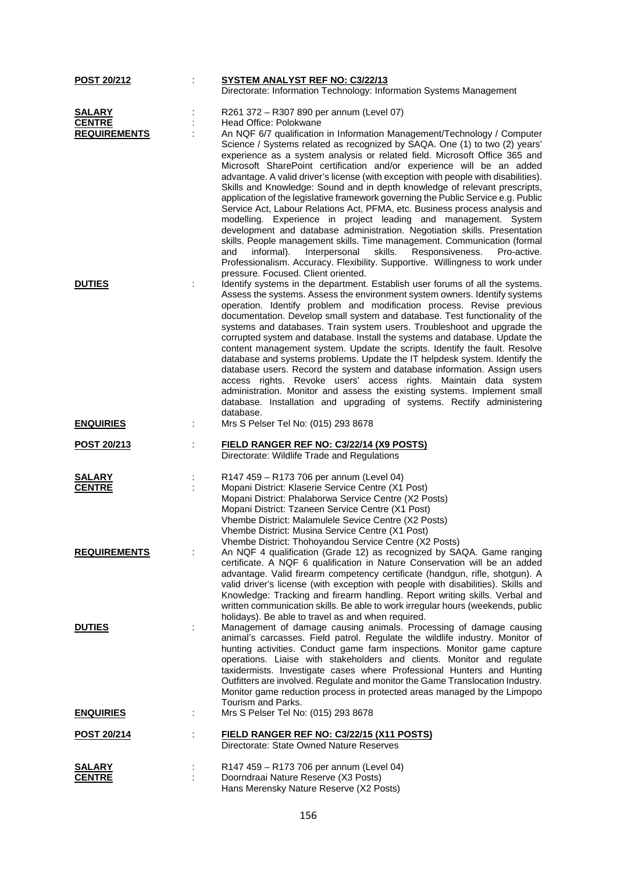| <b>POST 20/212</b>             |   | <b>SYSTEM ANALYST REF NO: C3/22/13</b>                                                                                                                                                                                                                                                                                                                                                                                                                                                                                                                                                                                                                                                                                                                                                                                                                                                                                                                                     |
|--------------------------------|---|----------------------------------------------------------------------------------------------------------------------------------------------------------------------------------------------------------------------------------------------------------------------------------------------------------------------------------------------------------------------------------------------------------------------------------------------------------------------------------------------------------------------------------------------------------------------------------------------------------------------------------------------------------------------------------------------------------------------------------------------------------------------------------------------------------------------------------------------------------------------------------------------------------------------------------------------------------------------------|
|                                |   | Directorate: Information Technology: Information Systems Management                                                                                                                                                                                                                                                                                                                                                                                                                                                                                                                                                                                                                                                                                                                                                                                                                                                                                                        |
| <b>SALARY</b>                  |   | R261 372 - R307 890 per annum (Level 07)                                                                                                                                                                                                                                                                                                                                                                                                                                                                                                                                                                                                                                                                                                                                                                                                                                                                                                                                   |
| <b>CENTRE</b>                  |   | Head Office: Polokwane                                                                                                                                                                                                                                                                                                                                                                                                                                                                                                                                                                                                                                                                                                                                                                                                                                                                                                                                                     |
| <b>REQUIREMENTS</b>            |   | An NQF 6/7 qualification in Information Management/Technology / Computer                                                                                                                                                                                                                                                                                                                                                                                                                                                                                                                                                                                                                                                                                                                                                                                                                                                                                                   |
|                                |   | Science / Systems related as recognized by SAQA. One (1) to two (2) years'<br>experience as a system analysis or related field. Microsoft Office 365 and<br>Microsoft SharePoint certification and/or experience will be an added<br>advantage. A valid driver's license (with exception with people with disabilities).<br>Skills and Knowledge: Sound and in depth knowledge of relevant prescripts,<br>application of the legislative framework governing the Public Service e.g. Public<br>Service Act, Labour Relations Act, PFMA, etc. Business process analysis and<br>modelling. Experience in project leading and management. System<br>development and database administration. Negotiation skills. Presentation<br>skills. People management skills. Time management. Communication (formal<br>informal).<br>skills.<br>Responsiveness.<br>and<br>Interpersonal<br>Pro-active.<br>Professionalism. Accuracy. Flexibility. Supportive. Willingness to work under |
|                                |   | pressure. Focused. Client oriented.                                                                                                                                                                                                                                                                                                                                                                                                                                                                                                                                                                                                                                                                                                                                                                                                                                                                                                                                        |
| <b>DUTIES</b>                  | t | Identify systems in the department. Establish user forums of all the systems.<br>Assess the systems. Assess the environment system owners. Identify systems<br>operation. Identify problem and modification process. Revise previous<br>documentation. Develop small system and database. Test functionality of the<br>systems and databases. Train system users. Troubleshoot and upgrade the<br>corrupted system and database. Install the systems and database. Update the<br>content management system. Update the scripts. Identify the fault. Resolve<br>database and systems problems. Update the IT helpdesk system. Identify the<br>database users. Record the system and database information. Assign users<br>access rights. Revoke users' access rights. Maintain data system<br>administration. Monitor and assess the existing systems. Implement small<br>database. Installation and upgrading of systems. Rectify administering<br>database.               |
| <b>ENQUIRIES</b>               | ÷ | Mrs S Pelser Tel No: (015) 293 8678                                                                                                                                                                                                                                                                                                                                                                                                                                                                                                                                                                                                                                                                                                                                                                                                                                                                                                                                        |
|                                |   |                                                                                                                                                                                                                                                                                                                                                                                                                                                                                                                                                                                                                                                                                                                                                                                                                                                                                                                                                                            |
|                                |   |                                                                                                                                                                                                                                                                                                                                                                                                                                                                                                                                                                                                                                                                                                                                                                                                                                                                                                                                                                            |
| <u>POST 20/213</u>             |   | FIELD RANGER REF NO: C3/22/14 (X9 POSTS)<br>Directorate: Wildlife Trade and Regulations                                                                                                                                                                                                                                                                                                                                                                                                                                                                                                                                                                                                                                                                                                                                                                                                                                                                                    |
|                                |   |                                                                                                                                                                                                                                                                                                                                                                                                                                                                                                                                                                                                                                                                                                                                                                                                                                                                                                                                                                            |
| <b>SALARY</b><br><b>CENTRE</b> | ÷ | R147 459 - R173 706 per annum (Level 04)<br>Mopani District: Klaserie Service Centre (X1 Post)<br>Mopani District: Phalaborwa Service Centre (X2 Posts)<br>Mopani District: Tzaneen Service Centre (X1 Post)<br>Vhembe District: Malamulele Sevice Centre (X2 Posts)<br>Vhembe District: Musina Service Centre (X1 Post)<br>Vhembe District: Thohoyandou Service Centre (X2 Posts)                                                                                                                                                                                                                                                                                                                                                                                                                                                                                                                                                                                         |
| <b>REQUIREMENTS</b>            |   | An NQF 4 qualification (Grade 12) as recognized by SAQA. Game ranging<br>certificate. A NQF 6 qualification in Nature Conservation will be an added<br>advantage. Valid firearm competency certificate (handgun, rifle, shotgun). A<br>valid driver's license (with exception with people with disabilities). Skills and<br>Knowledge: Tracking and firearm handling. Report writing skills. Verbal and<br>written communication skills. Be able to work irregular hours (weekends, public<br>holidays). Be able to travel as and when required.                                                                                                                                                                                                                                                                                                                                                                                                                           |
| <b>DUTIES</b>                  |   | Management of damage causing animals. Processing of damage causing<br>animal's carcasses. Field patrol. Regulate the wildlife industry. Monitor of<br>hunting activities. Conduct game farm inspections. Monitor game capture<br>operations. Liaise with stakeholders and clients. Monitor and regulate<br>taxidermists. Investigate cases where Professional Hunters and Hunting<br>Outfitters are involved. Regulate and monitor the Game Translocation Industry.<br>Monitor game reduction process in protected areas managed by the Limpopo                                                                                                                                                                                                                                                                                                                                                                                                                            |
| <b>ENQUIRIES</b>               | ÷ | Tourism and Parks.<br>Mrs S Pelser Tel No: (015) 293 8678                                                                                                                                                                                                                                                                                                                                                                                                                                                                                                                                                                                                                                                                                                                                                                                                                                                                                                                  |
| <b>POST 20/214</b>             |   | FIELD RANGER REF NO: C3/22/15 (X11 POSTS)<br>Directorate: State Owned Nature Reserves                                                                                                                                                                                                                                                                                                                                                                                                                                                                                                                                                                                                                                                                                                                                                                                                                                                                                      |
|                                |   |                                                                                                                                                                                                                                                                                                                                                                                                                                                                                                                                                                                                                                                                                                                                                                                                                                                                                                                                                                            |
| <b>SALARY</b><br><b>CENTRE</b> |   | R147 459 – R173 706 per annum (Level 04)<br>Doorndraai Nature Reserve (X3 Posts)                                                                                                                                                                                                                                                                                                                                                                                                                                                                                                                                                                                                                                                                                                                                                                                                                                                                                           |